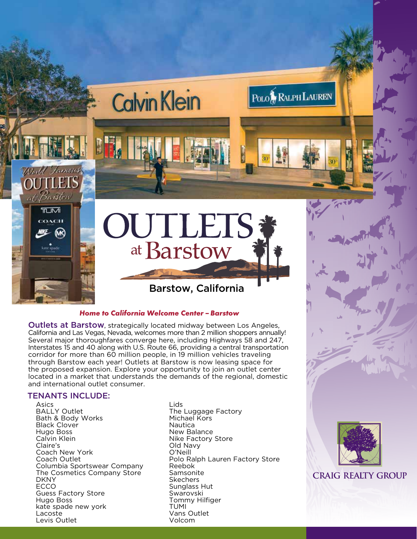

Outlets at Barstow, strategically located midway between Los Angeles, California and Las Vegas, Nevada, welcomes more than 2 million shoppers annually! Several major thoroughfares converge here, including Highways 58 and 247, Interstates 15 and 40 along with U.S. Route 66, providing a central transportation corridor for more than 60 million people, in 19 million vehicles traveling through Barstow each year! Outlets at Barstow is now leasing space for the proposed expansion. Explore your opportunity to join an outlet center located in a market that understands the demands of the regional, domestic and international outlet consumer.

# TENANTS INCLUDE:

Asics BALLY Outlet Bath & Body Works Black Clover Hugo Boss Calvin Klein Claire's Coach New York Coach Outlet Columbia Sportswear Company The Cosmetics Company Store DKNY ECCO Guess Factory Store Hugo Boss kate spade new york Lacoste Levis Outlet

Lids The Luggage Factory Michael Kors Nautica New Balance Nike Factory Store Old Navy O'Neill Polo Ralph Lauren Factory Store Reebok Samsonite Skechers Sunglass Hut Swarovski Tommy Hilfiger TUMI Vans Outlet Volcom



**CRAIG REALTY GROUP**